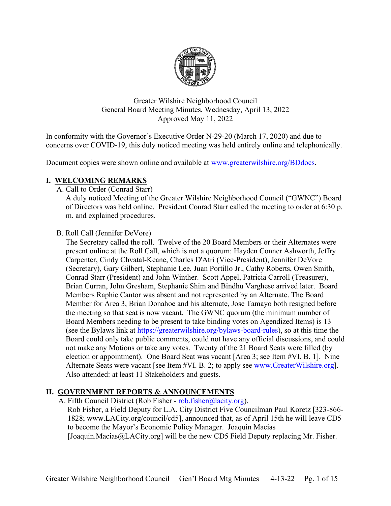

Greater Wilshire Neighborhood Council General Board Meeting Minutes, Wednesday, April 13, 2022 Approved May 11, 2022

In conformity with the Governor's Executive Order N-29-20 (March 17, 2020) and due to concerns over COVID-19, this duly noticed meeting was held entirely online and telephonically.

Document copies were shown online and available at [www.greaterwilshire.org/BDdocs.](http://www.greaterwilshire.org/BDdocs)

# **I. WELCOMING REMARKS**

A. Call to Order (Conrad Starr)

A duly noticed Meeting of the Greater Wilshire Neighborhood Council ("GWNC") Board of Directors was held online. President Conrad Starr called the meeting to order at 6:30 p. m. and explained procedures.

B. Roll Call (Jennifer DeVore)

The Secretary called the roll. Twelve of the 20 Board Members or their Alternates were present online at the Roll Call, which is not a quorum: Hayden Conner Ashworth, Jeffry Carpenter, Cindy Chvatal-Keane, Charles D'Atri (Vice-President), Jennifer DeVore (Secretary), Gary Gilbert, Stephanie Lee, Juan Portillo Jr., Cathy Roberts, Owen Smith, Conrad Starr (President) and John Winther. Scott Appel, Patricia Carroll (Treasurer), Brian Curran, John Gresham, Stephanie Shim and Bindhu Varghese arrived later. Board Members Raphie Cantor was absent and not represented by an Alternate. The Board Member for Area 3, Brian Donahoe and his alternate, Jose Tamayo both resigned before the meeting so that seat is now vacant. The GWNC quorum (the minimum number of Board Members needing to be present to take binding votes on Agendized Items) is 13 (see the Bylaws link at [https://greaterwilshire.org/bylaws-board-rules\)](https://greaterwilshire.org/bylaws-board-rules), so at this time the Board could only take public comments, could not have any official discussions, and could not make any Motions or take any votes. Twenty of the 21 Board Seats were filled (by election or appointment). One Board Seat was vacant [Area 3; see Item #VI. B. 1]. Nine Alternate Seats were vacant [see Item #VI. B. 2; to apply see [www.GreaterWilshire.org\]](http://www.greaterwilshire.org/). Also attended: at least 11 Stakeholders and guests.

# **II. GOVERNMENT REPORTS & ANNOUNCEMENTS**

A. Fifth Council District (Rob Fisher - [rob.fisher@lacity.org\)](mailto:rob.fisher@lacity.org).

Rob Fisher, a Field Deputy for L.A. City District Five Councilman Paul Koretz [323-866- 1828; www.LACity.org/council/cd5], announced that, as of April 15th he will leave CD5 to become the Mayor's Economic Policy Manager. Joaquin Macias [Joaquin.Macias@LACity.org] will be the new CD5 Field Deputy replacing Mr. Fisher.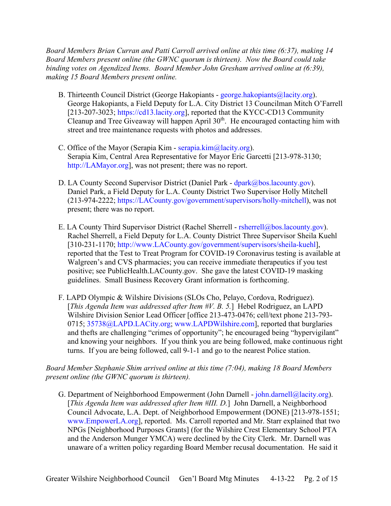*Board Members Brian Curran and Patti Carroll arrived online at this time (6:37), making 14 Board Members present online (the GWNC quorum is thirteen). Now the Board could take binding votes on Agendized Items. Board Member John Gresham arrived online at (6:39), making 15 Board Members present online.*

- B. Thirteenth Council District (George Hakopiants [george.hakopiants@lacity.org\)](mailto:george.hakopiants@lacity.org). George Hakopiants, a Field Deputy for L.A. City District 13 Councilman Mitch O'Farrell [213-207-3023; [https://cd13.lacity.org\]](https://cd13.lacity.org/), reported that the KYCC-CD13 Community Cleanup and Tree Giveaway will happen April 30<sup>th</sup>. He encouraged contacting him with street and tree maintenance requests with photos and addresses.
- C. Office of the Mayor (Serapia Kim [serapia.kim@lacity.org\)](mailto:serapia.kim@lacity.org). Serapia Kim, Central Area Representative for Mayor Eric Garcetti [213-978-3130; [http://LAMayor.org\]](http://lamayor.org/), was not present; there was no report.
- D. LA County Second Supervisor District (Daniel Park [dpark@bos.lacounty.gov\)](mailto:dpark@bos.lacounty.gov). Daniel Park, a Field Deputy for L.A. County District Two Supervisor Holly Mitchell (213-974-2222; [https://LACounty.gov/government/supervisors/holly-mitchell\)](https://lacounty.gov/government/supervisors/holly-mitchell), was not present; there was no report.
- E. LA County Third Supervisor District (Rachel Sherrell [rsherrell@bos.lacounty.gov\)](mailto:rsherrell@bos.lacounty.gov). Rachel Sherrell, a Field Deputy for L.A. County District Three Supervisor Sheila Kuehl [310-231-1170; [http://www.LACounty.gov/government/supervisors/sheila-kuehl\]](http://www.lacounty.gov/government/supervisors/sheila-kuehl), reported that the Test to Treat Program for COVID-19 Coronavirus testing is available at Walgreen's and CVS pharmacies; you can receive immediate therapeutics if you test positive; see PublicHealth.LACounty.gov. She gave the latest COVID-19 masking guidelines. Small Business Recovery Grant information is forthcoming.
- F. LAPD Olympic & Wilshire Divisions (SLOs Cho, Pelayo, Cordova, Rodriguez). [*This Agenda Item was addressed after Item #V. B. 5.*] Hebel Rodriguez, an LAPD Wilshire Division Senior Lead Officer [office 213-473-0476; cell/text phone 213-793- 0715; [35738@LAPD.LACity.org;](mailto:35738@LAPD.LACity.org) [www.LAPDWilshire.com\]](http://www.lapdwilshire.com/), reported that burglaries and thefts are challenging "crimes of opportunity"; he encouraged being "hypervigilant" and knowing your neighbors. If you think you are being followed, make continuous right turns. If you are being followed, call 9-1-1 and go to the nearest Police station.

*Board Member Stephanie Shim arrived online at this time (7:04), making 18 Board Members present online (the GWNC quorum is thirteen).*

G. Department of Neighborhood Empowerment (John Darnell - [john.darnell@lacity.org\)](mailto:john.darnell@lacity.org). [*This Agenda Item was addressed after Item #III. D.*] John Darnell, a Neighborhood Council Advocate, L.A. Dept. of Neighborhood Empowerment (DONE) [213-978-1551; [www.EmpowerLA.org\]](http://www.empowerla.org/), reported. Ms. Carroll reported and Mr. Starr explained that two NPGs [Neighborhood Purposes Grants] (for the Wilshire Crest Elementary School PTA and the Anderson Munger YMCA) were declined by the City Clerk. Mr. Darnell was unaware of a written policy regarding Board Member recusal documentation. He said it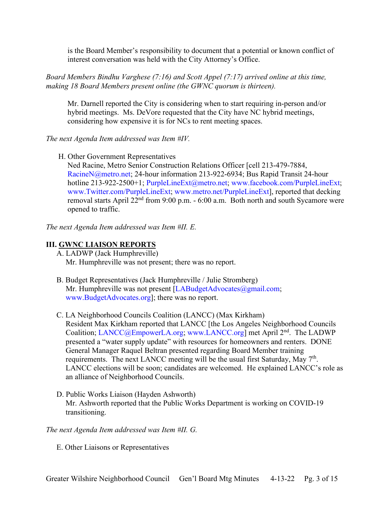is the Board Member's responsibility to document that a potential or known conflict of interest conversation was held with the City Attorney's Office.

*Board Members Bindhu Varghese (7:16) and Scott Appel (7:17) arrived online at this time, making 18 Board Members present online (the GWNC quorum is thirteen).* 

Mr. Darnell reported the City is considering when to start requiring in-person and/or hybrid meetings. Ms. DeVore requested that the City have NC hybrid meetings, considering how expensive it is for NCs to rent meeting spaces.

*The next Agenda Item addressed was Item #IV.*

H. Other Government Representatives

Ned Racine, Metro Senior Construction Relations Officer [cell 213-479-7884, [RacineN@metro.net;](mailto:RacineN@metro.net) 24-hour information 213-922-6934; Bus Rapid Transit 24-hour hotline 213-922-2500+1; [PurpleLineExt@metro.net;](mailto:PurpleLineExt@metro.net) [www.facebook.com/PurpleLineExt;](http://www.facebook.com/PurpleLineExt) [www.Twitter.com/PurpleLineExt;](http://www.twitter.com/PurpleLineExt) [www.metro.net/PurpleLineExt\]](http://www.metro.net/PurpleLineExt), reported that decking removal starts April  $22<sup>nd</sup>$  from 9:00 p.m. - 6:00 a.m. Both north and south Sycamore were opened to traffic.

*The next Agenda Item addressed was Item #II. E.*

# **III. GWNC LIAISON REPORTS**

- A. LADWP (Jack Humphreville) Mr. Humphreville was not present; there was no report.
- B. Budget Representatives (Jack Humphreville / Julie Stromberg) Mr. Humphreville was not present [\[LABudgetAdvocates@gmail.com;](mailto:LABudgetAdvocates@gmail.com) [www.BudgetAdvocates.org\]](http://www.budgetadvocates.org/); there was no report.
- C. LA Neighborhood Councils Coalition (LANCC) (Max Kirkham) Resident Max Kirkham reported that LANCC [the Los Angeles Neighborhood Councils Coalition; [LANCC@EmpowerLA.org;](mailto:LANCC@EmpowerLA.org) [www.LANCC.org\]](http://www.lancc.org/) met April 2nd. The LADWP presented a "water supply update" with resources for homeowners and renters. DONE General Manager Raquel Beltran presented regarding Board Member training requirements. The next LANCC meeting will be the usual first Saturday, May 7<sup>th</sup>. LANCC elections will be soon; candidates are welcomed. He explained LANCC's role as an alliance of Neighborhood Councils.
- D. Public Works Liaison (Hayden Ashworth) Mr. Ashworth reported that the Public Works Department is working on COVID-19 transitioning.

# *The next Agenda Item addressed was Item #II. G.*

E. Other Liaisons or Representatives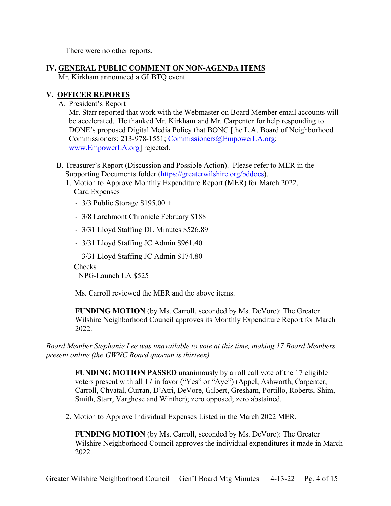There were no other reports.

**IV. GENERAL PUBLIC COMMENT ON NON-AGENDA ITEMS**

Mr. Kirkham announced a GLBTQ event.

# **V. OFFICER REPORTS**

A. President's Report

Mr. Starr reported that work with the Webmaster on Board Member email accounts will be accelerated. He thanked Mr. Kirkham and Mr. Carpenter for help responding to DONE's proposed Digital Media Policy that BONC [the L.A. Board of Neighborhood Commissioners; 213-978-1551; [Commissioners@EmpowerLA.org;](mailto:Commissioners@EmpowerLA.org) [www.EmpowerLA.org\]](http://www.empowerla.org/) rejected.

- B. Treasurer's Report (Discussion and Possible Action). Please refer to MER in the Supporting Documents folder [\(https://greaterwilshire.org/bddocs\)](https://greaterwilshire.org/bddocs).
	- 1. Motion to Approve Monthly Expenditure Report (MER) for March 2022. Card Expenses
		- $-$  3/3 Public Storage \$195.00 +
		- ﹣ 3/8 Larchmont Chronicle February \$188
		- 3/31 Lloyd Staffing DL Minutes \$526.89
		- 3/31 Lloyd Staffing JC Admin \$961.40
		- ﹣ 3/31 Lloyd Staffing JC Admin \$174.80

**Checks** 

NPG-Launch LA \$525

Ms. Carroll reviewed the MER and the above items.

**FUNDING MOTION** (by Ms. Carroll, seconded by Ms. DeVore): The Greater Wilshire Neighborhood Council approves its Monthly Expenditure Report for March 2022.

*Board Member Stephanie Lee was unavailable to vote at this time, making 17 Board Members present online (the GWNC Board quorum is thirteen).*

**FUNDING MOTION PASSED** unanimously by a roll call vote of the 17 eligible voters present with all 17 in favor ("Yes" or "Aye") (Appel, Ashworth, Carpenter, Carroll, Chvatal, Curran, D'Atri, DeVore, Gilbert, Gresham, Portillo, Roberts, Shim, Smith, Starr, Varghese and Winther); zero opposed; zero abstained.

2. Motion to Approve Individual Expenses Listed in the March 2022 MER.

**FUNDING MOTION** (by Ms. Carroll, seconded by Ms. DeVore): The Greater Wilshire Neighborhood Council approves the individual expenditures it made in March 2022.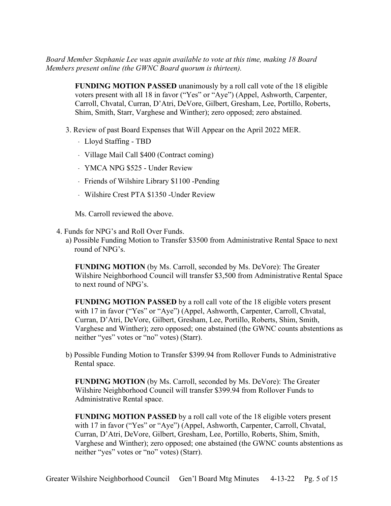*Board Member Stephanie Lee was again available to vote at this time, making 18 Board Members present online (the GWNC Board quorum is thirteen).*

> **FUNDING MOTION PASSED** unanimously by a roll call vote of the 18 eligible voters present with all 18 in favor ("Yes" or "Aye") (Appel, Ashworth, Carpenter, Carroll, Chvatal, Curran, D'Atri, DeVore, Gilbert, Gresham, Lee, Portillo, Roberts, Shim, Smith, Starr, Varghese and Winther); zero opposed; zero abstained.

- 3. Review of past Board Expenses that Will Appear on the April 2022 MER.
	- ﹣ Lloyd Staffing TBD
	- ﹣ Village Mail Call \$400 (Contract coming)
	- ﹣ YMCA NPG \$525 Under Review
	- ﹣ Friends of Wilshire Library \$1100 -Pending
	- ﹣ Wilshire Crest PTA \$1350 -Under Review

Ms. Carroll reviewed the above.

- 4. Funds for NPG's and Roll Over Funds.
	- a) Possible Funding Motion to Transfer \$3500 from Administrative Rental Space to next round of NPG's.

**FUNDING MOTION** (by Ms. Carroll, seconded by Ms. DeVore): The Greater Wilshire Neighborhood Council will transfer \$3,500 from Administrative Rental Space to next round of NPG's.

**FUNDING MOTION PASSED** by a roll call vote of the 18 eligible voters present with 17 in favor ("Yes" or "Aye") (Appel, Ashworth, Carpenter, Carroll, Chvatal, Curran, D'Atri, DeVore, Gilbert, Gresham, Lee, Portillo, Roberts, Shim, Smith, Varghese and Winther); zero opposed; one abstained (the GWNC counts abstentions as neither "yes" votes or "no" votes) (Starr).

b) Possible Funding Motion to Transfer \$399.94 from Rollover Funds to Administrative Rental space.

**FUNDING MOTION** (by Ms. Carroll, seconded by Ms. DeVore): The Greater Wilshire Neighborhood Council will transfer \$399.94 from Rollover Funds to Administrative Rental space.

**FUNDING MOTION PASSED** by a roll call vote of the 18 eligible voters present with 17 in favor ("Yes" or "Aye") (Appel, Ashworth, Carpenter, Carroll, Chvatal, Curran, D'Atri, DeVore, Gilbert, Gresham, Lee, Portillo, Roberts, Shim, Smith, Varghese and Winther); zero opposed; one abstained (the GWNC counts abstentions as neither "yes" votes or "no" votes) (Starr).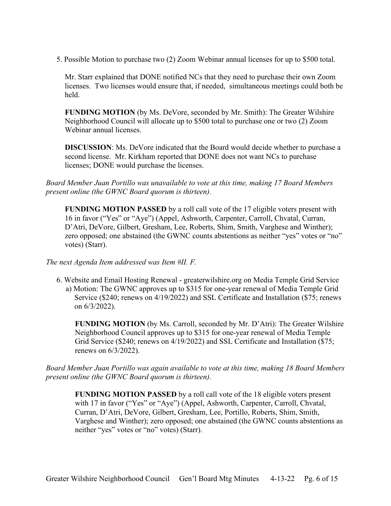5. Possible Motion to purchase two (2) Zoom Webinar annual licenses for up to \$500 total.

Mr. Starr explained that DONE notified NCs that they need to purchase their own Zoom licenses. Two licenses would ensure that, if needed, simultaneous meetings could both be held.

**FUNDING MOTION** (by Ms. DeVore, seconded by Mr. Smith): The Greater Wilshire Neighborhood Council will allocate up to \$500 total to purchase one or two (2) Zoom Webinar annual licenses.

**DISCUSSION**: Ms. DeVore indicated that the Board would decide whether to purchase a second license. Mr. Kirkham reported that DONE does not want NCs to purchase licenses; DONE would purchase the licenses.

*Board Member Juan Portillo was unavailable to vote at this time, making 17 Board Members present online (the GWNC Board quorum is thirteen).*

**FUNDING MOTION PASSED** by a roll call vote of the 17 eligible voters present with 16 in favor ("Yes" or "Aye") (Appel, Ashworth, Carpenter, Carroll, Chvatal, Curran, D'Atri, DeVore, Gilbert, Gresham, Lee, Roberts, Shim, Smith, Varghese and Winther); zero opposed; one abstained (the GWNC counts abstentions as neither "yes" votes or "no" votes) (Starr).

#### *The next Agenda Item addressed was Item #II. F.*

6. Website and Email Hosting Renewal - greaterwilshire.org on Media Temple Grid Service a) Motion: The GWNC approves up to \$315 for one-year renewal of Media Temple Grid Service (\$240; renews on 4/19/2022) and SSL Certificate and Installation (\$75; renews on 6/3/2022).

**FUNDING MOTION** (by Ms. Carroll, seconded by Mr. D'Atri): The Greater Wilshire Neighborhood Council approves up to \$315 for one-year renewal of Media Temple Grid Service (\$240; renews on 4/19/2022) and SSL Certificate and Installation (\$75; renews on 6/3/2022).

*Board Member Juan Portillo was again available to vote at this time, making 18 Board Members present online (the GWNC Board quorum is thirteen).*

**FUNDING MOTION PASSED** by a roll call vote of the 18 eligible voters present with 17 in favor ("Yes" or "Aye") (Appel, Ashworth, Carpenter, Carroll, Chvatal, Curran, D'Atri, DeVore, Gilbert, Gresham, Lee, Portillo, Roberts, Shim, Smith, Varghese and Winther); zero opposed; one abstained (the GWNC counts abstentions as neither "yes" votes or "no" votes) (Starr).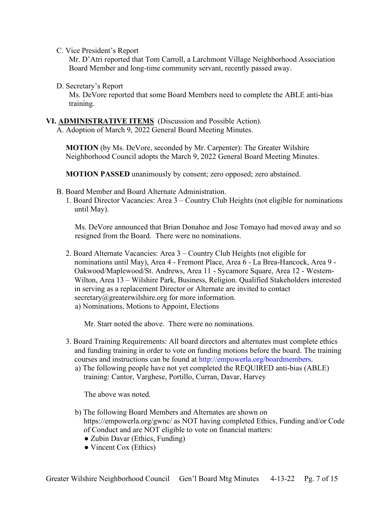C. Vice President's Report

Mr. D'Atri reported that Tom Carroll, a Larchmont Village Neighborhood Association Board Member and long-time community servant, recently passed away.

D. Secretary's Report

Ms. DeVore reported that some Board Members need to complete the ABLE anti-bias training.

# **VI. ADMINISTRATIVE ITEMS** (Discussion and Possible Action).

A. Adoption of March 9, 2022 General Board Meeting Minutes.

**MOTION** (by Ms. DeVore, seconded by Mr. Carpenter): The Greater Wilshire Neighborhood Council adopts the March 9, 2022 General Board Meeting Minutes.

**MOTION PASSED** unanimously by consent; zero opposed; zero abstained.

- B. Board Member and Board Alternate Administration.
	- 1. Board Director Vacancies: Area 3 Country Club Heights (not eligible for nominations until May).

Ms. DeVore announced that Brian Donahoe and Jose Tomayo had moved away and so resigned from the Board. There were no nominations.

2. Board Alternate Vacancies: Area 3 – Country Club Heights (not eligible for nominations until May), Area 4 - Fremont Place, Area 6 - La Brea-Hancock, Area 9 - Oakwood/Maplewood/St. Andrews, Area 11 - Sycamore Square, Area 12 - Western-Wilton, Area 13 – Wilshire Park, Business, Religion. Qualified Stakeholders interested in serving as a replacement Director or Alternate are invited to contact secretary@greaterwilshire.org for more information. a) Nominations, Motions to Appoint, Elections

Mr. Starr noted the above. There were no nominations.

- 3. Board Training Requirements: All board directors and alternates must complete ethics and funding training in order to vote on funding motions before the board. The training courses and instructions can be found at [http://empowerla.org/boardmembers.](http://empowerla.org/boardmembers)
	- a) The following people have not yet completed the REQUIRED anti-bias (ABLE) training: Cantor, Varghese, Portillo, Curran, Davar, Harvey

The above was noted.

- b) The following Board Members and Alternates are shown on https://empowerla.org/gwnc/ as NOT having completed Ethics, Funding and/or Code of Conduct and are NOT eligible to vote on financial matters:
	- Zubin Davar (Ethics, Funding)
	- Vincent Cox (Ethics)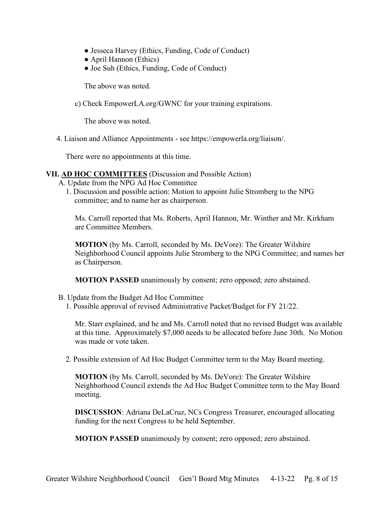- Jesseca Harvey (Ethics, Funding, Code of Conduct)
- April Hannon (Ethics)
- Joe Suh (Ethics, Funding, Code of Conduct)

The above was noted.

c) Check EmpowerLA.org/GWNC for your training expirations.

The above was noted.

4. Liaison and Alliance Appointments - see https://empowerla.org/liaison/.

There were no appointments at this time.

#### **VII. AD HOC COMMITTEES** (Discussion and Possible Action)

- A. Update from the NPG Ad Hoc Committee
	- 1. Discussion and possible action: Motion to appoint Julie Stromberg to the NPG committee; and to name her as chairperson.

Ms. Carroll reported that Ms. Roberts, April Hannon, Mr. Winther and Mr. Kirkham are Committee Members.

**MOTION** (by Ms. Carroll, seconded by Ms. DeVore): The Greater Wilshire Neighborhood Council appoints Julie Stromberg to the NPG Committee; and names her as Chairperson.

**MOTION PASSED** unanimously by consent; zero opposed; zero abstained.

- B. Update from the Budget Ad Hoc Committee
	- 1. Possible approval of revised Administrative Packet/Budget for FY 21/22.

Mr. Starr explained, and he and Ms. Carroll noted that no revised Budget was available at this time. Approximately \$7,000 needs to be allocated before June 30th. No Motion was made or vote taken.

2. Possible extension of Ad Hoc Budget Committee term to the May Board meeting.

**MOTION** (by Ms. Carroll, seconded by Ms. DeVore): The Greater Wilshire Neighborhood Council extends the Ad Hoc Budget Committee term to the May Board meeting.

**DISCUSSION**: Adriana DeLaCruz, NCs Congress Treasurer, encouraged allocating funding for the next Congress to be held September.

**MOTION PASSED** unanimously by consent; zero opposed; zero abstained.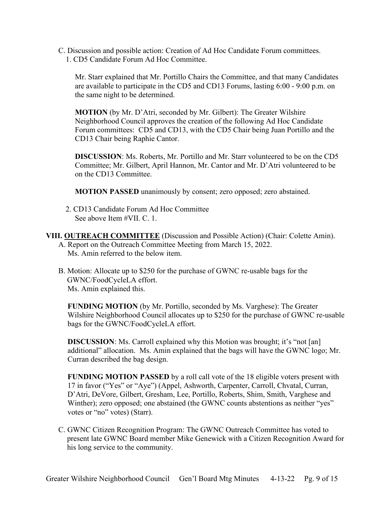C. Discussion and possible action: Creation of Ad Hoc Candidate Forum committees. 1. CD5 Candidate Forum Ad Hoc Committee.

Mr. Starr explained that Mr. Portillo Chairs the Committee, and that many Candidates are available to participate in the CD5 and CD13 Forums, lasting 6:00 - 9:00 p.m. on the same night to be determined.

**MOTION** (by Mr. D'Atri, seconded by Mr. Gilbert): The Greater Wilshire Neighborhood Council approves the creation of the following Ad Hoc Candidate Forum committees: CD5 and CD13, with the CD5 Chair being Juan Portillo and the CD13 Chair being Raphie Cantor.

**DISCUSSION**: Ms. Roberts, Mr. Portillo and Mr. Starr volunteered to be on the CD5 Committee; Mr. Gilbert, April Hannon, Mr. Cantor and Mr. D'Atri volunteered to be on the CD13 Committee.

**MOTION PASSED** unanimously by consent; zero opposed; zero abstained.

2. CD13 Candidate Forum Ad Hoc Committee See above Item #VII. C. 1.

**VIII. OUTREACH COMMITTEE** (Discussion and Possible Action) (Chair: Colette Amin). A. Report on the Outreach Committee Meeting from March 15, 2022. Ms. Amin referred to the below item.

B. Motion: Allocate up to \$250 for the purchase of GWNC re-usable bags for the GWNC/FoodCycleLA effort. Ms. Amin explained this.

**FUNDING MOTION** (by Mr. Portillo, seconded by Ms. Varghese): The Greater Wilshire Neighborhood Council allocates up to \$250 for the purchase of GWNC re-usable bags for the GWNC/FoodCycleLA effort.

**DISCUSSION:** Ms. Carroll explained why this Motion was brought; it's "not [an] additional" allocation. Ms. Amin explained that the bags will have the GWNC logo; Mr. Curran described the bag design.

**FUNDING MOTION PASSED** by a roll call vote of the 18 eligible voters present with 17 in favor ("Yes" or "Aye") (Appel, Ashworth, Carpenter, Carroll, Chvatal, Curran, D'Atri, DeVore, Gilbert, Gresham, Lee, Portillo, Roberts, Shim, Smith, Varghese and Winther); zero opposed; one abstained (the GWNC counts abstentions as neither "yes" votes or "no" votes) (Starr).

C. GWNC Citizen Recognition Program: The GWNC Outreach Committee has voted to present late GWNC Board member Mike Genewick with a Citizen Recognition Award for his long service to the community.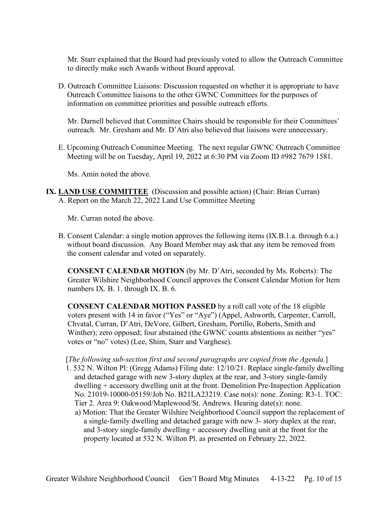Mr. Starr explained that the Board had previously voted to allow the Outreach Committee to directly make such Awards without Board approval.

D. Outreach Committee Liaisons: Discussion requested on whether it is appropriate to have Outreach Committee liaisons to the other GWNC Committees for the purposes of information on committee priorities and possible outreach efforts.

Mr. Darnell believed that Committee Chairs should be responsible for their Committees' outreach. Mr. Gresham and Mr. D'Atri also believed that liaisons were unnecessary.

E. Upcoming Outreach Committee Meeting. The next regular GWNC Outreach Committee Meeting will be on Tuesday, April 19, 2022 at 6:30 PM via Zoom ID #982 7679 1581.

Ms. Amin noted the above.

**IX. LAND USE COMMITTEE** (Discussion and possible action) (Chair: Brian Curran) A. Report on the March 22, 2022 Land Use Committee Meeting

Mr. Curran noted the above.

B. Consent Calendar: a single motion approves the following items (IX.B.1.a. through 6.a.) without board discussion. Any Board Member may ask that any item be removed from the consent calendar and voted on separately.

**CONSENT CALENDAR MOTION** (by Mr. D'Atri, seconded by Ms. Roberts): The Greater Wilshire Neighborhood Council approves the Consent Calendar Motion for Item numbers IX. B. 1. through IX. B. 6.

**CONSENT CALENDAR MOTION PASSED** by a roll call vote of the 18 eligible voters present with 14 in favor ("Yes" or "Aye") (Appel, Ashworth, Carpenter, Carroll, Chvatal, Curran, D'Atri, DeVore, Gilbert, Gresham, Portillo, Roberts, Smith and Winther); zero opposed; four abstained (the GWNC counts abstentions as neither "yes" votes or "no" votes) (Lee, Shim, Starr and Varghese).

# [*The following sub-section first and second paragraphs are copied from the Agenda.*]

- 1. 532 N. Wilton Pl: (Gregg Adams) Filing date: 12/10/21. Replace single-family dwelling and detached garage with new 3-story duplex at the rear, and 3-story single-family dwelling + accessory dwelling unit at the front. Demolition Pre-Inspection Application No. 21019-10000-05159/Job No. B21LA23219. Case no(s): none. Zoning: R3-1. TOC: Tier 2. Area 9: Oakwood/Maplewood/St. Andrews. Hearing date(s): none.
	- a) Motion: That the Greater Wilshire Neighborhood Council support the replacement of a single-family dwelling and detached garage with new 3- story duplex at the rear, and 3-story single-family dwelling + accessory dwelling unit at the front for the property located at 532 N. Wilton Pl. as presented on February 22, 2022.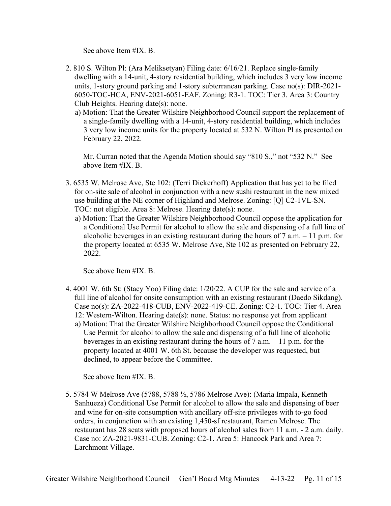See above Item #IX. B.

- 2. 810 S. Wilton Pl: (Ara Meliksetyan) Filing date: 6/16/21. Replace single-family dwelling with a 14-unit, 4-story residential building, which includes 3 very low income units, 1-story ground parking and 1-story subterranean parking. Case no(s): DIR-2021- 6050-TOC-HCA, ENV-2021-6051-EAF. Zoning: R3-1. TOC: Tier 3. Area 3: Country Club Heights. Hearing date(s): none.
	- a) Motion: That the Greater Wilshire Neighborhood Council support the replacement of a single-family dwelling with a 14-unit, 4-story residential building, which includes 3 very low income units for the property located at 532 N. Wilton Pl as presented on February 22, 2022.

Mr. Curran noted that the Agenda Motion should say "810 S.," not "532 N." See above Item #IX. B.

- 3. 6535 W. Melrose Ave, Ste 102: (Terri Dickerhoff) Application that has yet to be filed for on-site sale of alcohol in conjunction with a new sushi restaurant in the new mixed use building at the NE corner of Highland and Melrose. Zoning: [Q] C2-1VL-SN. TOC: not eligible. Area 8: Melrose. Hearing date(s): none.
	- a) Motion: That the Greater Wilshire Neighborhood Council oppose the application for a Conditional Use Permit for alcohol to allow the sale and dispensing of a full line of alcoholic beverages in an existing restaurant during the hours of  $7$  a.m.  $-11$  p.m. for the property located at 6535 W. Melrose Ave, Ste 102 as presented on February 22, 2022.

See above Item #IX. B.

- 4. 4001 W. 6th St: (Stacy Yoo) Filing date: 1/20/22. A CUP for the sale and service of a full line of alcohol for onsite consumption with an existing restaurant (Daedo Sikdang). Case no(s): ZA-2022-418-CUB, ENV-2022-419-CE. Zoning: C2-1. TOC: Tier 4. Area 12: Western-Wilton. Hearing date(s): none. Status: no response yet from applicant a) Motion: That the Greater Wilshire Neighborhood Council oppose the Conditional Use Permit for alcohol to allow the sale and dispensing of a full line of alcoholic
	- beverages in an existing restaurant during the hours of 7 a.m. 11 p.m. for the property located at 4001 W. 6th St. because the developer was requested, but declined, to appear before the Committee.

See above Item #IX. B.

5. 5784 W Melrose Ave (5788, 5788 ½, 5786 Melrose Ave): (Maria Impala, Kenneth Sanhueza) Conditional Use Permit for alcohol to allow the sale and dispensing of beer and wine for on-site consumption with ancillary off-site privileges with to-go food orders, in conjunction with an existing 1,450-sf restaurant, Ramen Melrose. The restaurant has 28 seats with proposed hours of alcohol sales from 11 a.m. - 2 a.m. daily. Case no: ZA-2021-9831-CUB. Zoning: C2-1. Area 5: Hancock Park and Area 7: Larchmont Village.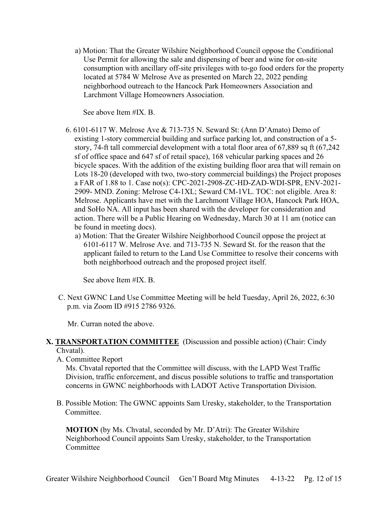a) Motion: That the Greater Wilshire Neighborhood Council oppose the Conditional Use Permit for allowing the sale and dispensing of beer and wine for on-site consumption with ancillary off-site privileges with to-go food orders for the property located at 5784 W Melrose Ave as presented on March 22, 2022 pending neighborhood outreach to the Hancock Park Homeowners Association and Larchmont Village Homeowners Association.

See above Item #IX. B.

- 6. 6101-6117 W. Melrose Ave & 713-735 N. Seward St: (Ann D'Amato) Demo of existing 1-story commercial building and surface parking lot, and construction of a 5 story, 74-ft tall commercial development with a total floor area of 67,889 sq ft (67,242 sf of office space and 647 sf of retail space), 168 vehicular parking spaces and 26 bicycle spaces. With the addition of the existing building floor area that will remain on Lots 18-20 (developed with two, two-story commercial buildings) the Project proposes a FAR of 1.88 to 1. Case no(s): CPC-2021-2908-ZC-HD-ZAD-WDI-SPR, ENV-2021- 2909- MND. Zoning: Melrose C4-1XL; Seward CM-1VL. TOC: not eligible. Area 8: Melrose. Applicants have met with the Larchmont Village HOA, Hancock Park HOA, and SoHo NA. All input has been shared with the developer for consideration and action. There will be a Public Hearing on Wednesday, March 30 at 11 am (notice can be found in meeting docs).
	- a) Motion: That the Greater Wilshire Neighborhood Council oppose the project at 6101-6117 W. Melrose Ave. and 713-735 N. Seward St. for the reason that the applicant failed to return to the Land Use Committee to resolve their concerns with both neighborhood outreach and the proposed project itself.

See above Item #IX. B.

C. Next GWNC Land Use Committee Meeting will be held Tuesday, April 26, 2022, 6:30 p.m. via Zoom ID #915 2786 9326.

Mr. Curran noted the above.

# **X. TRANSPORTATION COMMITTEE** (Discussion and possible action) (Chair: Cindy Chvatal).

A. Committee Report

Ms. Chvatal reported that the Committee will discuss, with the LAPD West Traffic Division, traffic enforcement, and discus possible solutions to traffic and transportation concerns in GWNC neighborhoods with LADOT Active Transportation Division.

B. Possible Motion: The GWNC appoints Sam Uresky, stakeholder, to the Transportation Committee.

**MOTION** (by Ms. Chvatal, seconded by Mr. D'Atri): The Greater Wilshire Neighborhood Council appoints Sam Uresky, stakeholder, to the Transportation **Committee**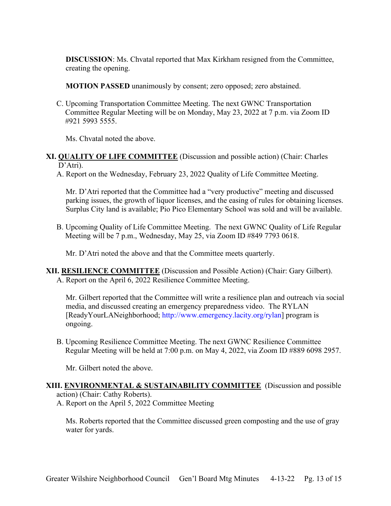**DISCUSSION**: Ms. Chvatal reported that Max Kirkham resigned from the Committee, creating the opening.

**MOTION PASSED** unanimously by consent; zero opposed; zero abstained.

C. Upcoming Transportation Committee Meeting. The next GWNC Transportation Committee Regular Meeting will be on Monday, May 23, 2022 at 7 p.m. via Zoom ID #921 5993 5555.

Ms. Chvatal noted the above.

- **XI. QUALITY OF LIFE COMMITTEE** (Discussion and possible action) (Chair: Charles D'Atri).
	- A. Report on the Wednesday, February 23, 2022 Quality of Life Committee Meeting.

Mr. D'Atri reported that the Committee had a "very productive" meeting and discussed parking issues, the growth of liquor licenses, and the easing of rules for obtaining licenses. Surplus City land is available; Pio Pico Elementary School was sold and will be available.

B. Upcoming Quality of Life Committee Meeting. The next GWNC Quality of Life Regular Meeting will be 7 p.m., Wednesday, May 25, via Zoom ID #849 7793 0618.

Mr. D'Atri noted the above and that the Committee meets quarterly.

**XII. RESILIENCE COMMITTEE** (Discussion and Possible Action) (Chair: Gary Gilbert). A. Report on the April 6, 2022 Resilience Committee Meeting.

Mr. Gilbert reported that the Committee will write a resilience plan and outreach via social media, and discussed creating an emergency preparedness video. The RYLAN [ReadyYourLANeighborhood; [http://www.emergency.lacity.org/rylan\]](http://www.emergency.lacity.org/rylan) program is ongoing.

B. Upcoming Resilience Committee Meeting. The next GWNC Resilience Committee Regular Meeting will be held at 7:00 p.m. on May 4, 2022, via Zoom ID #889 6098 2957.

Mr. Gilbert noted the above.

**XIII. ENVIRONMENTAL & SUSTAINABILITY COMMITTEE** (Discussion and possible action) (Chair: Cathy Roberts).

A. Report on the April 5, 2022 Committee Meeting

Ms. Roberts reported that the Committee discussed green composting and the use of gray water for yards.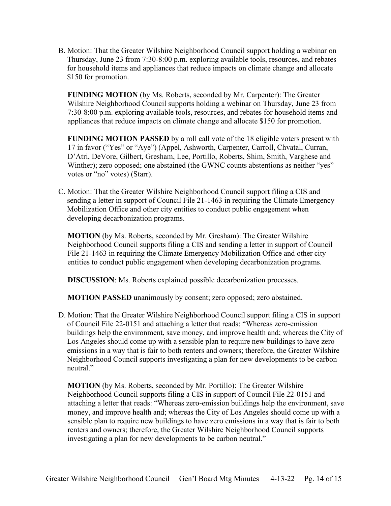B. Motion: That the Greater Wilshire Neighborhood Council support holding a webinar on Thursday, June 23 from 7:30-8:00 p.m. exploring available tools, resources, and rebates for household items and appliances that reduce impacts on climate change and allocate \$150 for promotion.

**FUNDING MOTION** (by Ms. Roberts, seconded by Mr. Carpenter): The Greater Wilshire Neighborhood Council supports holding a webinar on Thursday, June 23 from 7:30-8:00 p.m. exploring available tools, resources, and rebates for household items and appliances that reduce impacts on climate change and allocate \$150 for promotion.

**FUNDING MOTION PASSED** by a roll call vote of the 18 eligible voters present with 17 in favor ("Yes" or "Aye") (Appel, Ashworth, Carpenter, Carroll, Chvatal, Curran, D'Atri, DeVore, Gilbert, Gresham, Lee, Portillo, Roberts, Shim, Smith, Varghese and Winther); zero opposed; one abstained (the GWNC counts abstentions as neither "yes" votes or "no" votes) (Starr).

C. Motion: That the Greater Wilshire Neighborhood Council support filing a CIS and sending a letter in support of Council File 21-1463 in requiring the Climate Emergency Mobilization Office and other city entities to conduct public engagement when developing decarbonization programs.

**MOTION** (by Ms. Roberts, seconded by Mr. Gresham): The Greater Wilshire Neighborhood Council supports filing a CIS and sending a letter in support of Council File 21-1463 in requiring the Climate Emergency Mobilization Office and other city entities to conduct public engagement when developing decarbonization programs.

**DISCUSSION**: Ms. Roberts explained possible decarbonization processes.

**MOTION PASSED** unanimously by consent; zero opposed; zero abstained.

D. Motion: That the Greater Wilshire Neighborhood Council support filing a CIS in support of Council File 22-0151 and attaching a letter that reads: "Whereas zero-emission buildings help the environment, save money, and improve health and; whereas the City of Los Angeles should come up with a sensible plan to require new buildings to have zero emissions in a way that is fair to both renters and owners; therefore, the Greater Wilshire Neighborhood Council supports investigating a plan for new developments to be carbon neutral."

**MOTION** (by Ms. Roberts, seconded by Mr. Portillo): The Greater Wilshire Neighborhood Council supports filing a CIS in support of Council File 22-0151 and attaching a letter that reads: "Whereas zero-emission buildings help the environment, save money, and improve health and; whereas the City of Los Angeles should come up with a sensible plan to require new buildings to have zero emissions in a way that is fair to both renters and owners; therefore, the Greater Wilshire Neighborhood Council supports investigating a plan for new developments to be carbon neutral."